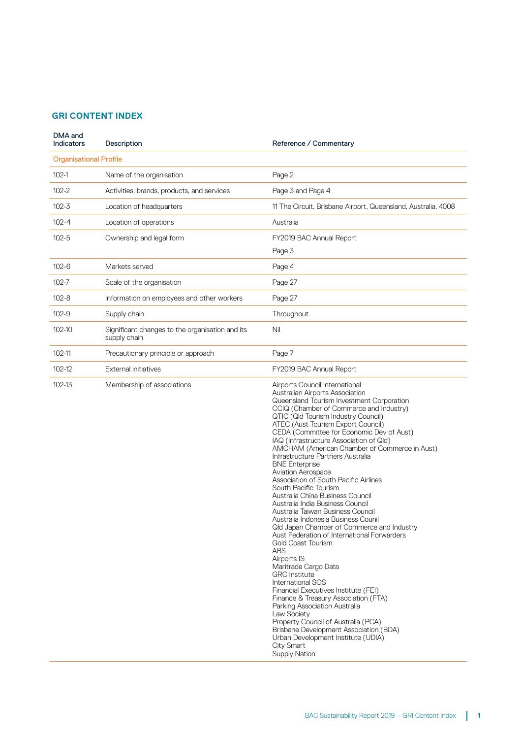## **GRI CONTENT INDEX**

| DMA and<br><b>Indicators</b>  | Description                                                     | Reference / Commentary                                                                                                                                                                                                                                                                                                                                                                                                                                                                                                                                                                                                                                                                                                                                                                                                                                                                                                                                                                                                                                                                                                                                                                                                    |
|-------------------------------|-----------------------------------------------------------------|---------------------------------------------------------------------------------------------------------------------------------------------------------------------------------------------------------------------------------------------------------------------------------------------------------------------------------------------------------------------------------------------------------------------------------------------------------------------------------------------------------------------------------------------------------------------------------------------------------------------------------------------------------------------------------------------------------------------------------------------------------------------------------------------------------------------------------------------------------------------------------------------------------------------------------------------------------------------------------------------------------------------------------------------------------------------------------------------------------------------------------------------------------------------------------------------------------------------------|
| <b>Organisational Profile</b> |                                                                 |                                                                                                                                                                                                                                                                                                                                                                                                                                                                                                                                                                                                                                                                                                                                                                                                                                                                                                                                                                                                                                                                                                                                                                                                                           |
| $102-1$                       | Name of the organisation                                        | Page 2                                                                                                                                                                                                                                                                                                                                                                                                                                                                                                                                                                                                                                                                                                                                                                                                                                                                                                                                                                                                                                                                                                                                                                                                                    |
| $102 - 2$                     | Activities, brands, products, and services                      | Page 3 and Page 4                                                                                                                                                                                                                                                                                                                                                                                                                                                                                                                                                                                                                                                                                                                                                                                                                                                                                                                                                                                                                                                                                                                                                                                                         |
| $102 - 3$                     | Location of headquarters                                        | 11 The Circuit, Brisbane Airport, Queensland, Australia, 4008                                                                                                                                                                                                                                                                                                                                                                                                                                                                                                                                                                                                                                                                                                                                                                                                                                                                                                                                                                                                                                                                                                                                                             |
| $102 - 4$                     | Location of operations                                          | Australia                                                                                                                                                                                                                                                                                                                                                                                                                                                                                                                                                                                                                                                                                                                                                                                                                                                                                                                                                                                                                                                                                                                                                                                                                 |
| $102 - 5$                     | Ownership and legal form                                        | FY2019 BAC Annual Report                                                                                                                                                                                                                                                                                                                                                                                                                                                                                                                                                                                                                                                                                                                                                                                                                                                                                                                                                                                                                                                                                                                                                                                                  |
|                               |                                                                 | Page 3                                                                                                                                                                                                                                                                                                                                                                                                                                                                                                                                                                                                                                                                                                                                                                                                                                                                                                                                                                                                                                                                                                                                                                                                                    |
| $102 - 6$                     | Markets served                                                  | Page 4                                                                                                                                                                                                                                                                                                                                                                                                                                                                                                                                                                                                                                                                                                                                                                                                                                                                                                                                                                                                                                                                                                                                                                                                                    |
| $102 - 7$                     | Scale of the organisation                                       | Page 27                                                                                                                                                                                                                                                                                                                                                                                                                                                                                                                                                                                                                                                                                                                                                                                                                                                                                                                                                                                                                                                                                                                                                                                                                   |
| $102 - 8$                     | Information on employees and other workers                      | Page 27                                                                                                                                                                                                                                                                                                                                                                                                                                                                                                                                                                                                                                                                                                                                                                                                                                                                                                                                                                                                                                                                                                                                                                                                                   |
| $102 - 9$                     | Supply chain                                                    | Throughout                                                                                                                                                                                                                                                                                                                                                                                                                                                                                                                                                                                                                                                                                                                                                                                                                                                                                                                                                                                                                                                                                                                                                                                                                |
| 102-10                        | Significant changes to the organisation and its<br>supply chain | Nil                                                                                                                                                                                                                                                                                                                                                                                                                                                                                                                                                                                                                                                                                                                                                                                                                                                                                                                                                                                                                                                                                                                                                                                                                       |
| 102-11                        | Precautionary principle or approach                             | Page 7                                                                                                                                                                                                                                                                                                                                                                                                                                                                                                                                                                                                                                                                                                                                                                                                                                                                                                                                                                                                                                                                                                                                                                                                                    |
| 102-12                        | External initiatives                                            | FY2019 BAC Annual Report                                                                                                                                                                                                                                                                                                                                                                                                                                                                                                                                                                                                                                                                                                                                                                                                                                                                                                                                                                                                                                                                                                                                                                                                  |
| 102-13                        | Membership of associations                                      | Airports Council International<br>Australian Airports Association<br>Queensland Tourism Investment Corporation<br>CCIQ (Chamber of Commerce and Industry)<br>QTIC (Qld Tourism Industry Council)<br>ATEC (Aust Tourism Export Council)<br>CEDA (Committee for Economic Dev of Aust)<br>IAQ (Infrastructure Association of Qld)<br>AMCHAM (American Chamber of Commerce in Aust)<br>Infrastructure Partners Australia<br><b>BNE</b> Enterprise<br><b>Aviation Aerospace</b><br>Association of South Pacific Airlines<br>South Pacific Tourism<br>Australia China Business Council<br>Australia India Business Council<br>Australia Taiwan Business Council<br>Australia Indonesia Business Counil<br>Qld Japan Chamber of Commerce and Industry<br>Aust Federation of International Forwarders<br>Gold Coast Tourism<br><b>ABS</b><br>Airports IS<br>Maritrade Cargo Data<br><b>GRC</b> Institute<br>International SOS<br>Financial Executives Institute (FEI)<br>Finance & Treasury Association (FTA)<br>Parking Association Australia<br>Law Society<br>Property Council of Australia (PCA)<br>Brisbane Development Association (BDA)<br>Urban Development Institute (UDIA)<br><b>City Smart</b><br><b>Supply Nation</b> |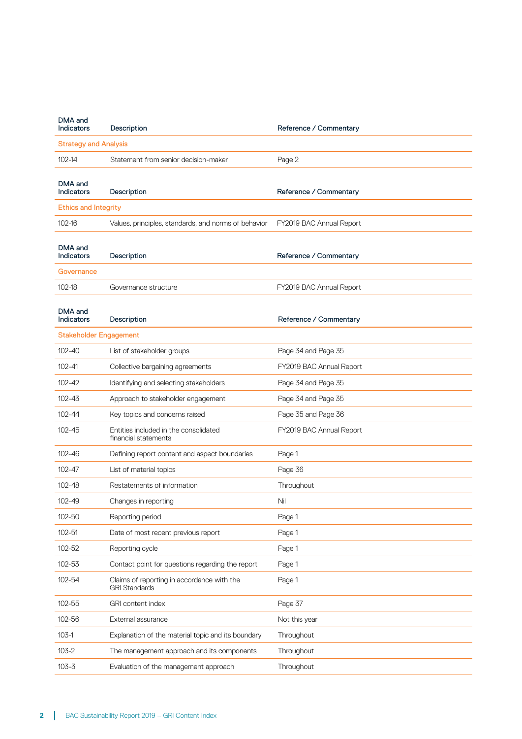| DMA and<br><b>Indicators</b>  | Description                                                        | Reference / Commentary   |  |  |
|-------------------------------|--------------------------------------------------------------------|--------------------------|--|--|
| <b>Strategy and Analysis</b>  |                                                                    |                          |  |  |
| $102 - 14$                    | Statement from senior decision-maker                               | Page 2                   |  |  |
| DMA and                       |                                                                    |                          |  |  |
| <b>Indicators</b>             | Description                                                        | Reference / Commentary   |  |  |
| <b>Ethics and Integrity</b>   |                                                                    |                          |  |  |
| $102 - 16$                    | Values, principles, standards, and norms of behavior               | FY2019 BAC Annual Report |  |  |
| DMA and<br><b>Indicators</b>  | Description                                                        | Reference / Commentary   |  |  |
| Governance                    |                                                                    |                          |  |  |
| 102-18                        | Governance structure                                               | FY2019 BAC Annual Report |  |  |
|                               |                                                                    |                          |  |  |
| DMA and<br><b>Indicators</b>  | Description                                                        | Reference / Commentary   |  |  |
| <b>Stakeholder Engagement</b> |                                                                    |                          |  |  |
| $102 - 40$                    | List of stakeholder groups                                         | Page 34 and Page 35      |  |  |
| $102 - 41$                    | Collective bargaining agreements                                   | FY2019 BAC Annual Report |  |  |
| 102-42                        | Identifying and selecting stakeholders                             | Page 34 and Page 35      |  |  |
| $102 - 43$                    | Approach to stakeholder engagement                                 | Page 34 and Page 35      |  |  |
| 102-44                        | Key topics and concerns raised                                     | Page 35 and Page 36      |  |  |
| $102 - 45$                    | Entities included in the consolidated<br>financial statements      | FY2019 BAC Annual Report |  |  |
| 102-46                        | Defining report content and aspect boundaries                      | Page 1                   |  |  |
| $102 - 47$                    | List of material topics                                            | Page 36                  |  |  |
| 102-48                        | Restatements of information                                        | Throughout               |  |  |
| 102-49                        | Changes in reporting                                               | Nil                      |  |  |
| 102-50                        | Reporting period                                                   | Page 1                   |  |  |
| $102 - 51$                    | Date of most recent previous report                                | Page 1                   |  |  |
| 102-52                        | Reporting cycle                                                    | Page 1                   |  |  |
| 102-53                        | Contact point for questions regarding the report                   | Page 1                   |  |  |
| 102-54                        | Claims of reporting in accordance with the<br><b>GRI Standards</b> | Page 1                   |  |  |
| 102-55                        | GRI content index                                                  | Page 37                  |  |  |
| 102-56                        | External assurance                                                 | Not this year            |  |  |
| $103-1$                       | Explanation of the material topic and its boundary                 | Throughout               |  |  |
| $103 - 2$                     | The management approach and its components                         | Throughout               |  |  |
| $103 - 3$                     | Evaluation of the management approach                              | Throughout               |  |  |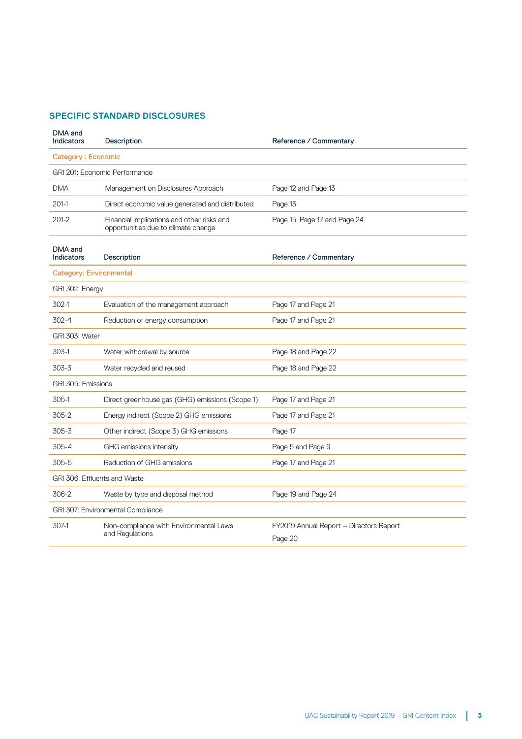## **SPECIFIC STANDARD DISCLOSURES**

| DMA and<br>Indicators             | Description                                                                       | Reference / Commentary                  |  |  |
|-----------------------------------|-----------------------------------------------------------------------------------|-----------------------------------------|--|--|
| Category: Economic                |                                                                                   |                                         |  |  |
|                                   | GRI 201: Economic Performance                                                     |                                         |  |  |
| <b>DMA</b>                        | Management on Disclosures Approach                                                | Page 12 and Page 13                     |  |  |
| $201-1$                           | Direct economic value generated and distributed                                   | Page 13                                 |  |  |
| $201 - 2$                         | Financial implications and other risks and<br>opportunities due to climate change | Page 15, Page 17 and Page 24            |  |  |
| DMA and<br>Indicators             | Description                                                                       | Reference / Commentary                  |  |  |
| <b>Category: Environmental</b>    |                                                                                   |                                         |  |  |
| GRI 302: Energy                   |                                                                                   |                                         |  |  |
| $302-1$                           | Evaluation of the management approach                                             | Page 17 and Page 21                     |  |  |
| $302 - 4$                         | Reduction of energy consumption                                                   | Page 17 and Page 21                     |  |  |
| GRI 303: Water                    |                                                                                   |                                         |  |  |
| 303-1                             | Water withdrawal by source                                                        | Page 18 and Page 22                     |  |  |
| $303 - 3$                         | Water recycled and reused                                                         | Page 18 and Page 22                     |  |  |
| GRI 305: Emissions                |                                                                                   |                                         |  |  |
| 305-1                             | Direct greenhouse gas (GHG) emissions (Scope 1)                                   | Page 17 and Page 21                     |  |  |
| 305-2                             | Energy indirect (Scope 2) GHG emissions                                           | Page 17 and Page 21                     |  |  |
| $305 - 3$                         | Other indirect (Scope 3) GHG emissions                                            | Page 17                                 |  |  |
| $305 - 4$                         | GHG emissions intensity                                                           | Page 5 and Page 9                       |  |  |
| 305-5                             | Reduction of GHG emissions                                                        | Page 17 and Page 21                     |  |  |
| GRI 306: Effluents and Waste      |                                                                                   |                                         |  |  |
| 306-2                             | Waste by type and disposal method                                                 | Page 19 and Page 24                     |  |  |
| GRI 307: Environmental Compliance |                                                                                   |                                         |  |  |
| 307-1                             | Non-compliance with Environmental Laws<br>and Regulations                         | FY2019 Annual Report - Directors Report |  |  |
|                                   |                                                                                   | Page 20                                 |  |  |